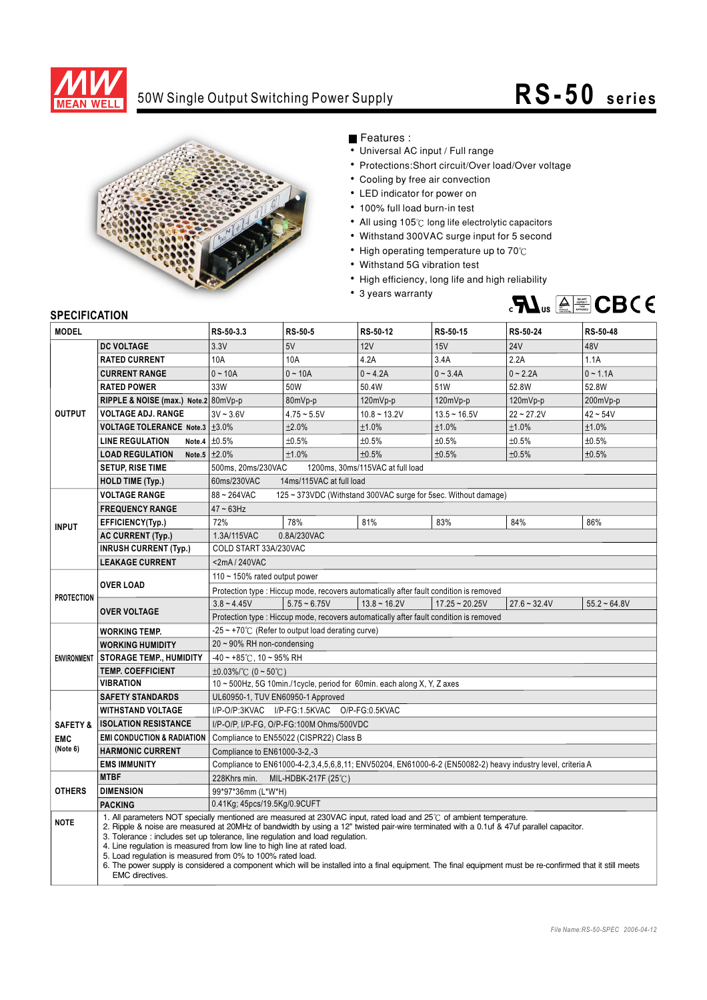

## 50W Single Output Switching Power Supply

## **RS-50 series**



Features :

- Universal AC input / Full range
- Protections: Short circuit/Over load/Over voltage
- Cooling by free air convection
- LED indicator for power on
- 100% full load burn-in test
- All using 105°C long life electrolytic capacitors
- Withstand 300VAC surge input for 5 second
- High operating temperature up to  $70^{\circ}$ C
- Withstand 5G vibration test
- High efficiency, long life and high reliability
- 3 years warranty



## **SPECIFICATION**

| <b>MODEL</b>           |                                                                                                                                                                                                                                                                                                                                                                                                                                                                                                                                                                                                                                                                                    | RS-50-3.3                                                                                                  | <b>RS-50-5</b> | RS-50-12                                                                              | RS-50-15               | RS-50-24       | RS-50-48       |
|------------------------|------------------------------------------------------------------------------------------------------------------------------------------------------------------------------------------------------------------------------------------------------------------------------------------------------------------------------------------------------------------------------------------------------------------------------------------------------------------------------------------------------------------------------------------------------------------------------------------------------------------------------------------------------------------------------------|------------------------------------------------------------------------------------------------------------|----------------|---------------------------------------------------------------------------------------|------------------------|----------------|----------------|
|                        | <b>DC VOLTAGE</b>                                                                                                                                                                                                                                                                                                                                                                                                                                                                                                                                                                                                                                                                  | 3.3V                                                                                                       | 5V             | 12V                                                                                   | 15V                    | <b>24V</b>     | 48V            |
| <b>OUTPUT</b>          | <b>RATED CURRENT</b>                                                                                                                                                                                                                                                                                                                                                                                                                                                                                                                                                                                                                                                               | 10A                                                                                                        | 10A            | 4.2A                                                                                  | 3.4A                   | 2.2A           | 1.1A           |
|                        | <b>CURRENT RANGE</b>                                                                                                                                                                                                                                                                                                                                                                                                                                                                                                                                                                                                                                                               | $0 - 10A$                                                                                                  | $0 - 10A$      | $0 - 4.2A$                                                                            | $0 - 3.4A$             | $0 - 2.2A$     | $0 - 1.1A$     |
|                        | <b>RATED POWER</b>                                                                                                                                                                                                                                                                                                                                                                                                                                                                                                                                                                                                                                                                 | 33W                                                                                                        | 50W            | 50.4W                                                                                 | 51W                    | 52.8W          | 52.8W          |
|                        | RIPPLE & NOISE (max.) Note.2 80mVp-p                                                                                                                                                                                                                                                                                                                                                                                                                                                                                                                                                                                                                                               |                                                                                                            | 80mVp-p        | 120mVp-p                                                                              | 120mVp-p               | 120mVp-p       | 200mVp-p       |
|                        | <b>VOLTAGE ADJ. RANGE</b>                                                                                                                                                                                                                                                                                                                                                                                                                                                                                                                                                                                                                                                          | $3V - 3.6V$                                                                                                | $4.75 - 5.5V$  | $10.8 - 13.2V$                                                                        | $13.5 - 16.5V$         | $22 - 27.2V$   | $42 - 54V$     |
|                        | <b>VOLTAGE TOLERANCE Note.3 <math>\pm</math>3.0%</b>                                                                                                                                                                                                                                                                                                                                                                                                                                                                                                                                                                                                                               |                                                                                                            | ±2.0%          | ±1.0%                                                                                 | ±1.0%                  | ±1.0%          | ±1.0%          |
|                        | <b>LINE REGULATION</b>                                                                                                                                                                                                                                                                                                                                                                                                                                                                                                                                                                                                                                                             | Note.4 $\pm 0.5\%$                                                                                         | ±0.5%          | ±0.5%                                                                                 | ±0.5%                  | ±0.5%          | ±0.5%          |
|                        | <b>LOAD REGULATION</b>                                                                                                                                                                                                                                                                                                                                                                                                                                                                                                                                                                                                                                                             | Note.5 $\pm 2.0\%$                                                                                         | ±1.0%          | ±0.5%                                                                                 | ±0.5%                  | ±0.5%          | ±0.5%          |
|                        | <b>SETUP, RISE TIME</b>                                                                                                                                                                                                                                                                                                                                                                                                                                                                                                                                                                                                                                                            | 500ms, 20ms/230VAC<br>1200ms, 30ms/115VAC at full load                                                     |                |                                                                                       |                        |                |                |
|                        | <b>HOLD TIME (Typ.)</b>                                                                                                                                                                                                                                                                                                                                                                                                                                                                                                                                                                                                                                                            | 60ms/230VAC<br>14ms/115VAC at full load                                                                    |                |                                                                                       |                        |                |                |
|                        | <b>VOLTAGE RANGE</b>                                                                                                                                                                                                                                                                                                                                                                                                                                                                                                                                                                                                                                                               | 88~264VAC<br>125 ~ 373VDC (Withstand 300VAC surge for 5sec. Without damage)                                |                |                                                                                       |                        |                |                |
| <b>INPUT</b>           | <b>FREQUENCY RANGE</b>                                                                                                                                                                                                                                                                                                                                                                                                                                                                                                                                                                                                                                                             | $47 \sim 63$ Hz                                                                                            |                |                                                                                       |                        |                |                |
|                        | EFFICIENCY(Typ.)                                                                                                                                                                                                                                                                                                                                                                                                                                                                                                                                                                                                                                                                   | 72%                                                                                                        | 78%            | 81%                                                                                   | 83%                    | 84%            | 86%            |
|                        | <b>AC CURRENT (Typ.)</b>                                                                                                                                                                                                                                                                                                                                                                                                                                                                                                                                                                                                                                                           | 0.8A/230VAC<br>1.3A/115VAC                                                                                 |                |                                                                                       |                        |                |                |
|                        | <b>INRUSH CURRENT (Typ.)</b>                                                                                                                                                                                                                                                                                                                                                                                                                                                                                                                                                                                                                                                       | COLD START 33A/230VAC                                                                                      |                |                                                                                       |                        |                |                |
|                        | <b>LEAKAGE CURRENT</b>                                                                                                                                                                                                                                                                                                                                                                                                                                                                                                                                                                                                                                                             | <2mA/240VAC                                                                                                |                |                                                                                       |                        |                |                |
| <b>PROTECTION</b>      | <b>OVER LOAD</b>                                                                                                                                                                                                                                                                                                                                                                                                                                                                                                                                                                                                                                                                   | 110 ~ 150% rated output power                                                                              |                |                                                                                       |                        |                |                |
|                        |                                                                                                                                                                                                                                                                                                                                                                                                                                                                                                                                                                                                                                                                                    | Protection type : Hiccup mode, recovers automatically after fault condition is removed                     |                |                                                                                       |                        |                |                |
|                        | <b>OVER VOLTAGE</b>                                                                                                                                                                                                                                                                                                                                                                                                                                                                                                                                                                                                                                                                | $3.8 - 4.45V$                                                                                              | $5.75 - 6.75V$ | $13.8 \sim 16.2V$                                                                     | $17.25 \approx 20.25V$ | $27.6 - 32.4V$ | $55.2 - 64.8V$ |
|                        |                                                                                                                                                                                                                                                                                                                                                                                                                                                                                                                                                                                                                                                                                    |                                                                                                            |                | Protection type: Hiccup mode, recovers automatically after fault condition is removed |                        |                |                |
| <b>ENVIRONMENT</b>     | <b>WORKING TEMP.</b>                                                                                                                                                                                                                                                                                                                                                                                                                                                                                                                                                                                                                                                               | $-25 \sim +70^{\circ}$ (Refer to output load derating curve)                                               |                |                                                                                       |                        |                |                |
|                        | <b>WORKING HUMIDITY</b>                                                                                                                                                                                                                                                                                                                                                                                                                                                                                                                                                                                                                                                            | 20 ~ 90% RH non-condensing                                                                                 |                |                                                                                       |                        |                |                |
|                        | <b>STORAGE TEMP., HUMIDITY</b>                                                                                                                                                                                                                                                                                                                                                                                                                                                                                                                                                                                                                                                     | $-40 \sim +85^{\circ}$ C, 10 ~ 95% RH                                                                      |                |                                                                                       |                        |                |                |
|                        | <b>TEMP. COEFFICIENT</b>                                                                                                                                                                                                                                                                                                                                                                                                                                                                                                                                                                                                                                                           | $\pm 0.03\%$ (0 ~ 50°C)                                                                                    |                |                                                                                       |                        |                |                |
|                        | <b>VIBRATION</b>                                                                                                                                                                                                                                                                                                                                                                                                                                                                                                                                                                                                                                                                   | 10 ~ 500Hz, 5G 10min./1cycle, period for 60min. each along X, Y, Z axes                                    |                |                                                                                       |                        |                |                |
|                        | <b>SAFETY STANDARDS</b>                                                                                                                                                                                                                                                                                                                                                                                                                                                                                                                                                                                                                                                            | UL60950-1, TUV EN60950-1 Approved                                                                          |                |                                                                                       |                        |                |                |
|                        | <b>WITHSTAND VOLTAGE</b>                                                                                                                                                                                                                                                                                                                                                                                                                                                                                                                                                                                                                                                           | I/P-O/P:3KVAC I/P-FG:1.5KVAC O/P-FG:0.5KVAC                                                                |                |                                                                                       |                        |                |                |
| <b>SAFETY &amp;</b>    | <b>ISOLATION RESISTANCE</b>                                                                                                                                                                                                                                                                                                                                                                                                                                                                                                                                                                                                                                                        | I/P-O/P, I/P-FG, O/P-FG:100M Ohms/500VDC                                                                   |                |                                                                                       |                        |                |                |
| <b>EMC</b><br>(Note 6) | <b>EMI CONDUCTION &amp; RADIATION</b>                                                                                                                                                                                                                                                                                                                                                                                                                                                                                                                                                                                                                                              | Compliance to EN55022 (CISPR22) Class B                                                                    |                |                                                                                       |                        |                |                |
|                        | <b>HARMONIC CURRENT</b>                                                                                                                                                                                                                                                                                                                                                                                                                                                                                                                                                                                                                                                            | Compliance to EN61000-3-2,-3                                                                               |                |                                                                                       |                        |                |                |
|                        | <b>EMS IMMUNITY</b>                                                                                                                                                                                                                                                                                                                                                                                                                                                                                                                                                                                                                                                                | Compliance to EN61000-4-2,3,4,5,6,8,11; ENV50204, EN61000-6-2 (EN50082-2) heavy industry level, criteria A |                |                                                                                       |                        |                |                |
| <b>OTHERS</b>          | <b>MTBF</b>                                                                                                                                                                                                                                                                                                                                                                                                                                                                                                                                                                                                                                                                        | 228Khrs min. MIL-HDBK-217F (25°C)                                                                          |                |                                                                                       |                        |                |                |
|                        | <b>DIMENSION</b>                                                                                                                                                                                                                                                                                                                                                                                                                                                                                                                                                                                                                                                                   | 99*97*36mm (L*W*H)                                                                                         |                |                                                                                       |                        |                |                |
|                        | <b>PACKING</b>                                                                                                                                                                                                                                                                                                                                                                                                                                                                                                                                                                                                                                                                     | 0.41Kg; 45pcs/19.5Kg/0.9CUFT                                                                               |                |                                                                                       |                        |                |                |
| <b>NOTE</b>            | 1. All parameters NOT specially mentioned are measured at 230VAC input, rated load and 25°C of ambient temperature.<br>2. Ripple & noise are measured at 20MHz of bandwidth by using a 12" twisted pair-wire terminated with a 0.1uf & 47uf parallel capacitor.<br>3. Tolerance: includes set up tolerance, line regulation and load regulation.<br>4. Line regulation is measured from low line to high line at rated load.<br>5. Load regulation is measured from 0% to 100% rated load.<br>6. The power supply is considered a component which will be installed into a final equipment. The final equipment must be re-confirmed that it still meets<br><b>EMC</b> directives. |                                                                                                            |                |                                                                                       |                        |                |                |